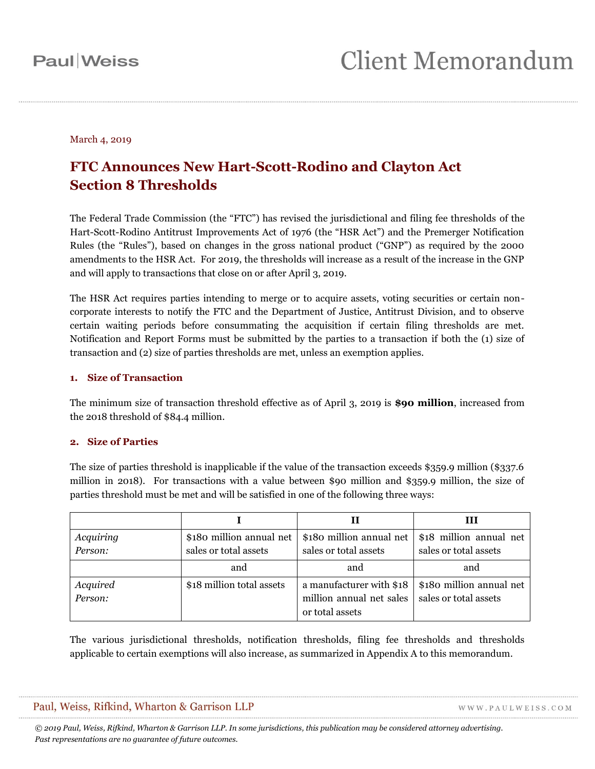### March 4, 2019

### **FTC Announces New Hart-Scott-Rodino and Clayton Act Section 8 Thresholds**

The Federal Trade Commission (the "FTC") has revised the jurisdictional and filing fee thresholds of the Hart-Scott-Rodino Antitrust Improvements Act of 1976 (the "HSR Act") and the Premerger Notification Rules (the "Rules"), based on changes in the gross national product ("GNP") as required by the 2000 amendments to the HSR Act. For 2019, the thresholds will increase as a result of the increase in the GNP and will apply to transactions that close on or after April 3, 2019.

The HSR Act requires parties intending to merge or to acquire assets, voting securities or certain noncorporate interests to notify the FTC and the Department of Justice, Antitrust Division, and to observe certain waiting periods before consummating the acquisition if certain filing thresholds are met. Notification and Report Forms must be submitted by the parties to a transaction if both the (1) size of transaction and (2) size of parties thresholds are met, unless an exemption applies.

#### **1. Size of Transaction**

The minimum size of transaction threshold effective as of April 3, 2019 is **\$90 million**, increased from the 2018 threshold of \$84.4 million.

#### **2. Size of Parties**

The size of parties threshold is inapplicable if the value of the transaction exceeds \$359.9 million (\$337.6 million in 2018). For transactions with a value between \$90 million and \$359.9 million, the size of parties threshold must be met and will be satisfied in one of the following three ways:

|           |                           |                          | Ш                        |
|-----------|---------------------------|--------------------------|--------------------------|
| Acquiring | \$180 million annual net  | \$180 million annual net | \$18 million annual net  |
| Person:   | sales or total assets     | sales or total assets    | sales or total assets    |
|           | and                       | and                      | and                      |
| Acquired  | \$18 million total assets | a manufacturer with \$18 | \$180 million annual net |
| Person:   |                           | million annual net sales | sales or total assets    |
|           |                           | or total assets          |                          |

The various jurisdictional thresholds, notification thresholds, filing fee thresholds and thresholds applicable to certain exemptions will also increase, as summarized in Appendix A to this memorandum.

| Paul, Weiss, Rifkind, Wharton & Garrison LLP | WWW.PAULWEISS.COM |  |
|----------------------------------------------|-------------------|--|
|                                              |                   |  |

*© 2019 Paul, Weiss, Rifkind, Wharton & Garrison LLP. In some jurisdictions, this publication may be considered attorney advertising. Past representations are no guarantee of future outcomes.*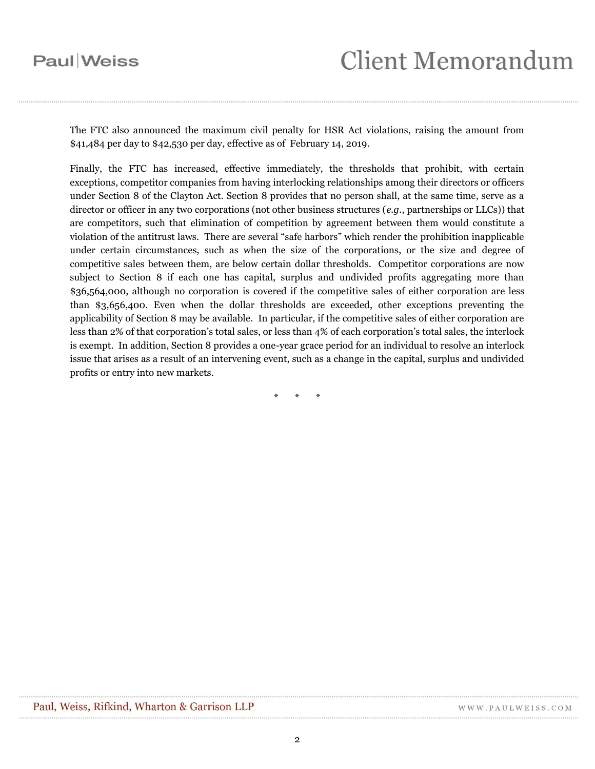## **Paul** Weiss

The FTC also announced the maximum civil penalty for HSR Act violations, raising the amount from \$41,484 per day to \$42,530 per day, effective as of February 14, 2019.

Finally, the FTC has increased, effective immediately, the thresholds that prohibit, with certain exceptions, competitor companies from having interlocking relationships among their directors or officers under Section 8 of the Clayton Act. Section 8 provides that no person shall, at the same time, serve as a director or officer in any two corporations (not other business structures (*e.g*., partnerships or LLCs)) that are competitors, such that elimination of competition by agreement between them would constitute a violation of the antitrust laws. There are several "safe harbors" which render the prohibition inapplicable under certain circumstances, such as when the size of the corporations, or the size and degree of competitive sales between them, are below certain dollar thresholds. Competitor corporations are now subject to Section 8 if each one has capital, surplus and undivided profits aggregating more than \$36,564,000, although no corporation is covered if the competitive sales of either corporation are less than \$3,656,400. Even when the dollar thresholds are exceeded, other exceptions preventing the applicability of Section 8 may be available. In particular, if the competitive sales of either corporation are less than 2% of that corporation's total sales, or less than 4% of each corporation's total sales, the interlock is exempt. In addition, Section 8 provides a one-year grace period for an individual to resolve an interlock issue that arises as a result of an intervening event, such as a change in the capital, surplus and undivided profits or entry into new markets.

\* \* \*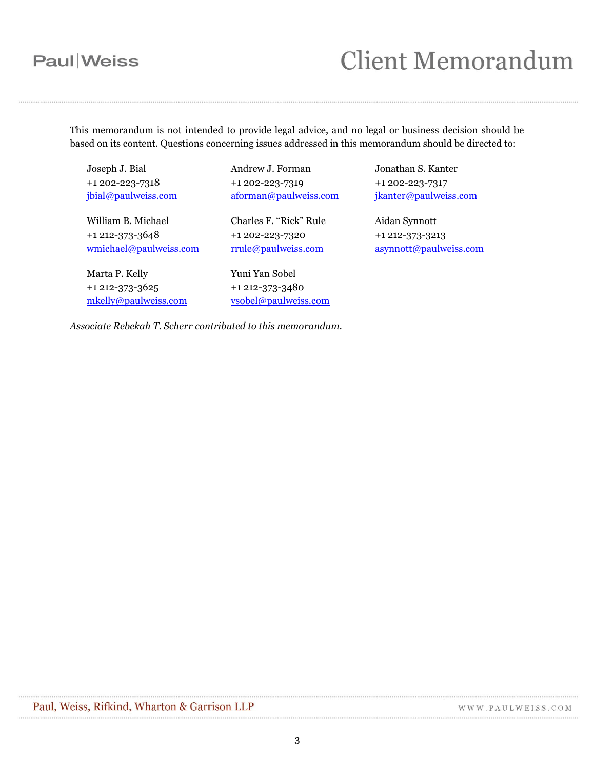# **Paul** Weiss

# **Client Memorandum**

This memorandum is not intended to provide legal advice, and no legal or business decision should be based on its content. Questions concerning issues addressed in this memorandum should be directed to:

Joseph J. Bial +1 202-223-7318 [jbial@paulweiss.com](mailto:jbial@paulweiss.com)

William B. Michael +1 212-373-3648 [wmichael@paulweiss.com](mailto:wmichael@paulweiss.com)

Marta P. Kelly +1 212-373-3625 [mkelly@paulweiss.com](mailto:mkelly@paulweiss.com) Andrew J. Forman +1 202-223-7319 [aforman@paulweiss.com](mailto:aforman@paulweiss.com)

Charles F. "Rick" Rule +1 202-223-7320 [rrule@paulweiss.com](mailto:rrule@paulweiss.com)

Yuni Yan Sobel +1 212-373-3480 [ysobel@paulweiss.com](mailto:ysobel@paulweiss.com) Jonathan S. Kanter +1 202-223-7317 [jkanter@paulweiss.com](mailto:jkanter@paulweiss.com)

Aidan Synnott +1 212-373-3213 [asynnott@paulweiss.com](mailto:asynnott@paulweiss.com)

*Associate Rebekah T. Scherr contributed to this memorandum.*

WWW.PAULWEISS.COM